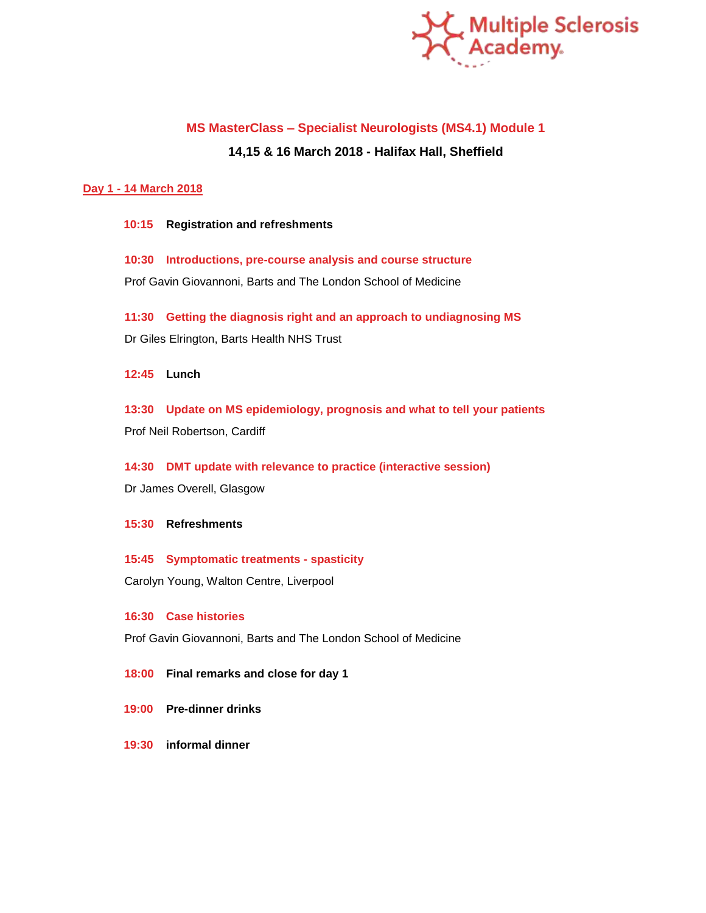

# **MS MasterClass – Specialist Neurologists (MS4.1) Module 1**

# **14,15 & 16 March 2018 - Halifax Hall, Sheffield**

## **Day 1 - 14 March 2018**

**10:15 Registration and refreshments**

**10:30 Introductions, pre-course analysis and course structure** Prof Gavin Giovannoni, Barts and The London School of Medicine

**11:30 Getting the diagnosis right and an approach to undiagnosing MS** Dr Giles Elrington, Barts Health NHS Trust

**12:45 Lunch**

**13:30 Update on MS epidemiology, prognosis and what to tell your patients** Prof Neil Robertson, Cardiff

**14:30 DMT update with relevance to practice (interactive session)** Dr James Overell, Glasgow

## **15:30 Refreshments**

**15:45 Symptomatic treatments - spasticity** Carolyn Young, Walton Centre, Liverpool

## **16:30 Case histories**

Prof Gavin Giovannoni, Barts and The London School of Medicine

**18:00 Final remarks and close for day 1**

- **19:00 Pre-dinner drinks**
- **19:30 informal dinner**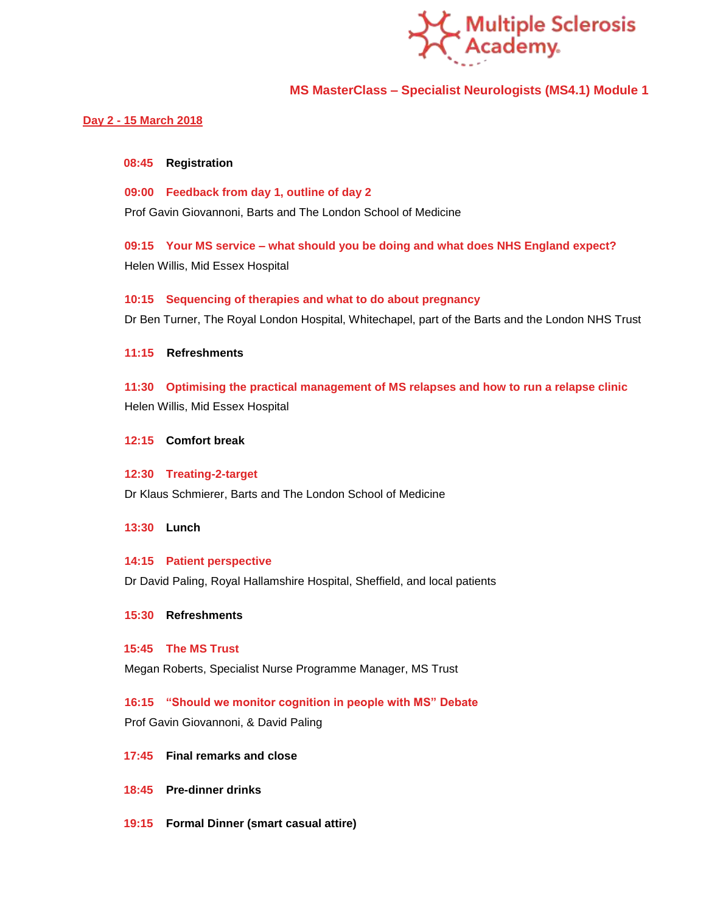

## **MS MasterClass – Specialist Neurologists (MS4.1) Module 1**

## **Day 2 - 15 March 2018**

#### **08:45 Registration**

**09:00 Feedback from day 1, outline of day 2** Prof Gavin Giovannoni, Barts and The London School of Medicine

**09:15 Your MS service – what should you be doing and what does NHS England expect?** Helen Willis, Mid Essex Hospital

## **10:15 Sequencing of therapies and what to do about pregnancy**

Dr Ben Turner, The Royal London Hospital, Whitechapel, part of the Barts and the London NHS Trust

**11:15 Refreshments**

**11:30 Optimising the practical management of MS relapses and how to run a relapse clinic** Helen Willis, Mid Essex Hospital

**12:15 Comfort break**

#### **12:30 Treating-2-target**

Dr Klaus Schmierer, Barts and The London School of Medicine

**13:30 Lunch**

#### **14:15 Patient perspective**

Dr David Paling, Royal Hallamshire Hospital, Sheffield, and local patients

#### **15:30 Refreshments**

#### **15:45 The MS Trust**

Megan Roberts, Specialist Nurse Programme Manager, MS Trust

## **16:15 "Should we monitor cognition in people with MS" Debate**

Prof Gavin Giovannoni, & David Paling

## **17:45 Final remarks and close**

- **18:45 Pre-dinner drinks**
- **19:15 Formal Dinner (smart casual attire)**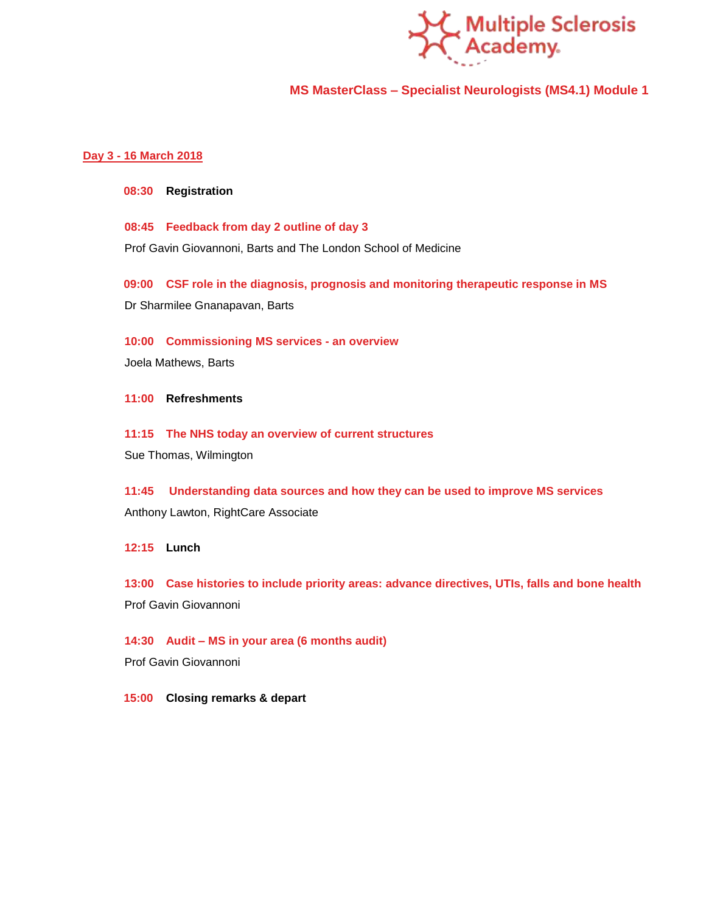

## **MS MasterClass – Specialist Neurologists (MS4.1) Module 1**

## **Day 3 - 16 March 2018**

#### **08:30 Registration**

**08:45 Feedback from day 2 outline of day 3** Prof Gavin Giovannoni, Barts and The London School of Medicine

**09:00 CSF role in the diagnosis, prognosis and monitoring therapeutic response in MS** Dr Sharmilee Gnanapavan, Barts

**10:00 Commissioning MS services - an overview** 

Joela Mathews, Barts

**11:00 Refreshments**

**11:15 The NHS today an overview of current structures**

Sue Thomas, Wilmington

**11:45 Understanding data sources and how they can be used to improve MS services**  Anthony Lawton, RightCare Associate

**12:15 Lunch**

**13:00 Case histories to include priority areas: advance directives, UTIs, falls and bone health** Prof Gavin Giovannoni

**14:30 Audit – MS in your area (6 months audit)**

Prof Gavin Giovannoni

**15:00 Closing remarks & depart**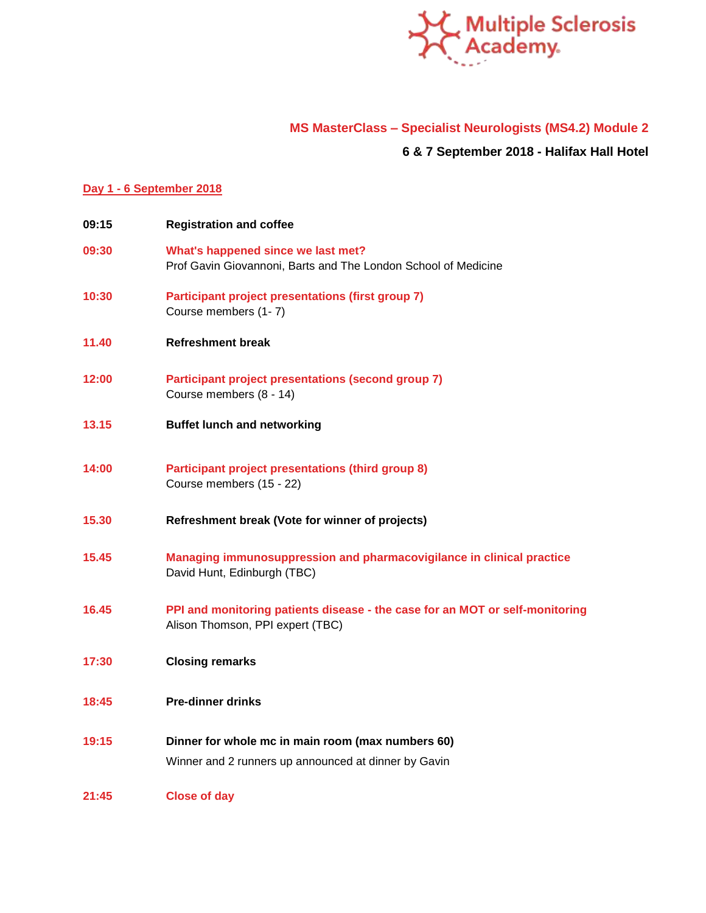

# **MS MasterClass – Specialist Neurologists (MS4.2) Module 2**

# **6 & 7 September 2018 - Halifax Hall Hotel**

## **Day 1 - 6 September 2018**

| 09:15 | <b>Registration and coffee</b>                                                                                   |
|-------|------------------------------------------------------------------------------------------------------------------|
| 09:30 | What's happened since we last met?<br>Prof Gavin Giovannoni, Barts and The London School of Medicine             |
| 10:30 | <b>Participant project presentations (first group 7)</b><br>Course members (1-7)                                 |
| 11.40 | <b>Refreshment break</b>                                                                                         |
| 12:00 | Participant project presentations (second group 7)<br>Course members (8 - 14)                                    |
| 13.15 | <b>Buffet lunch and networking</b>                                                                               |
| 14:00 | <b>Participant project presentations (third group 8)</b><br>Course members (15 - 22)                             |
| 15.30 | Refreshment break (Vote for winner of projects)                                                                  |
| 15.45 | Managing immunosuppression and pharmacovigilance in clinical practice<br>David Hunt, Edinburgh (TBC)             |
| 16.45 | PPI and monitoring patients disease - the case for an MOT or self-monitoring<br>Alison Thomson, PPI expert (TBC) |
| 17:30 | <b>Closing remarks</b>                                                                                           |
| 18:45 | <b>Pre-dinner drinks</b>                                                                                         |
| 19:15 | Dinner for whole mc in main room (max numbers 60)<br>Winner and 2 runners up announced at dinner by Gavin        |
| 21:45 | <b>Close of day</b>                                                                                              |